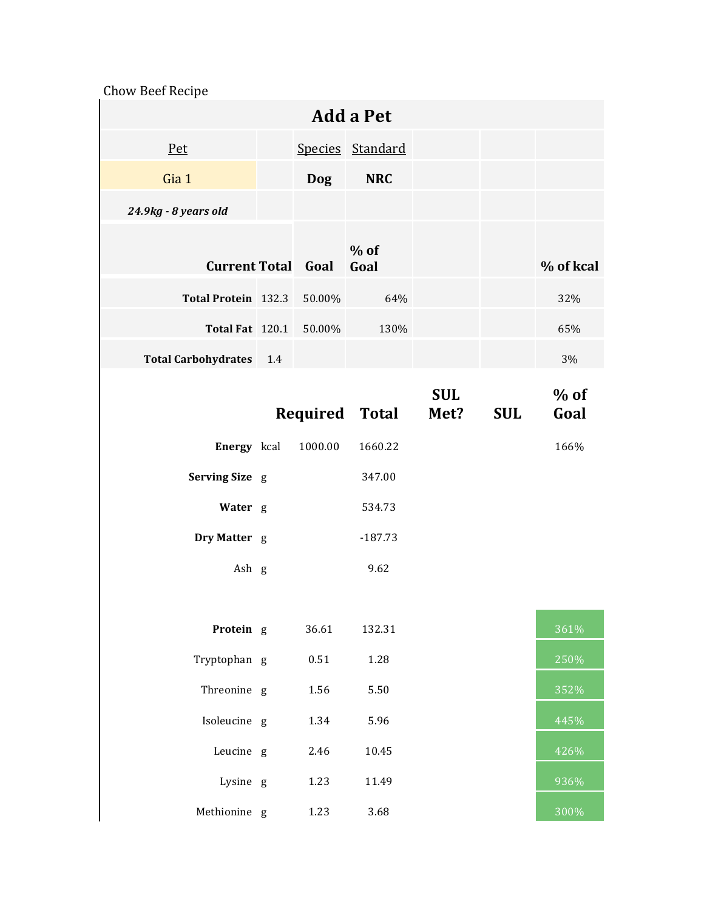Chow Beef Recipe

| -------- <b>-</b> -        |     |            | <b>Add a Pet</b>      |                    |            |                |
|----------------------------|-----|------------|-----------------------|--------------------|------------|----------------|
| Pet                        |     |            | Species Standard      |                    |            |                |
| Gia 1                      |     | <b>Dog</b> | <b>NRC</b>            |                    |            |                |
| 24.9kg - 8 years old       |     |            |                       |                    |            |                |
| <b>Current Total Goal</b>  |     |            | $%$ of<br>Goal        |                    |            | % of kcal      |
| Total Protein 132.3        |     | 50.00%     | 64%                   |                    |            | 32%            |
| <b>Total Fat</b> 120.1     |     | 50.00%     | 130%                  |                    |            | 65%            |
| <b>Total Carbohydrates</b> | 1.4 |            |                       |                    |            | 3%             |
|                            |     |            | <b>Required Total</b> | <b>SUL</b><br>Met? | <b>SUL</b> | $%$ of<br>Goal |
| Energy kcal                |     | 1000.00    | 1660.22               |                    |            | 166%           |
| Serving Size g             |     |            | 347.00                |                    |            |                |
| Water g                    |     |            | 534.73                |                    |            |                |
| Dry Matter g               |     |            | $-187.73$             |                    |            |                |
| Ash g                      |     |            | 9.62                  |                    |            |                |
|                            |     |            |                       |                    |            |                |
| Protein g                  |     | 36.61      | 132.31                |                    |            | 361%           |
| Tryptophan <sub>g</sub>    |     | 0.51       | 1.28                  |                    |            | 250%           |
| Threonine g                |     | 1.56       | 5.50                  |                    |            | 352%           |
| Isoleucine g               |     | 1.34       | 5.96                  |                    |            | 445%           |
| Leucine g                  |     | 2.46       | 10.45                 |                    |            | 426%           |
| Lysine g                   |     | 1.23       | 11.49                 |                    |            | 936%           |
| Methionine g               |     | 1.23       | 3.68                  |                    |            | 300%           |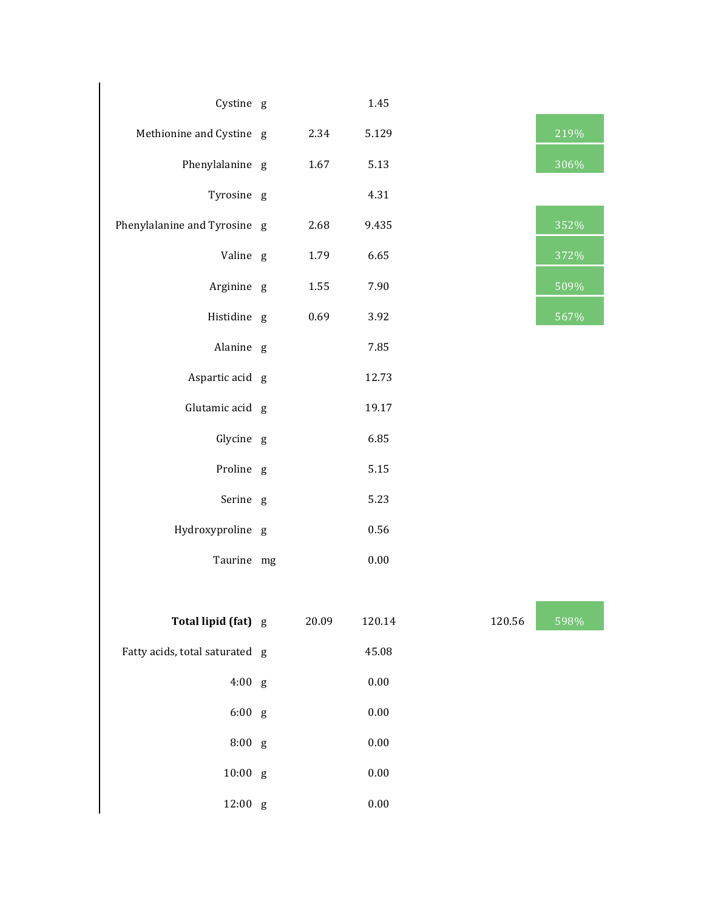| Cystine g                      |       | 1.45     |        |      |
|--------------------------------|-------|----------|--------|------|
| Methionine and Cystine g       | 2.34  | 5.129    |        | 219% |
| Phenylalanine g                | 1.67  | 5.13     |        | 306% |
| Tyrosine g                     |       | 4.31     |        |      |
| Phenylalanine and Tyrosine g   | 2.68  | 9.435    |        | 352% |
| Valine g                       | 1.79  | 6.65     |        | 372% |
| Arginine g                     | 1.55  | 7.90     |        | 509% |
| Histidine g                    | 0.69  | 3.92     |        | 567% |
| Alanine g                      |       | 7.85     |        |      |
| Aspartic acid g                |       | 12.73    |        |      |
| Glutamic acid g                |       | 19.17    |        |      |
| Glycine g                      |       | 6.85     |        |      |
| Proline g                      |       | 5.15     |        |      |
| Serine g                       |       | 5.23     |        |      |
| Hydroxyproline g               |       | 0.56     |        |      |
| Taurine mg                     |       | 0.00     |        |      |
|                                |       |          |        |      |
| Total lipid (fat) g            | 20.09 | 120.14   | 120.56 | 598% |
| Fatty acids, total saturated g |       | 45.08    |        |      |
| $4:00$ g                       |       | 0.00     |        |      |
| 6:00 g                         |       | $0.00\,$ |        |      |
| 8:00 g                         |       | 0.00     |        |      |
| 10:00 g                        |       | 0.00     |        |      |
| 12:00 g                        |       | 0.00     |        |      |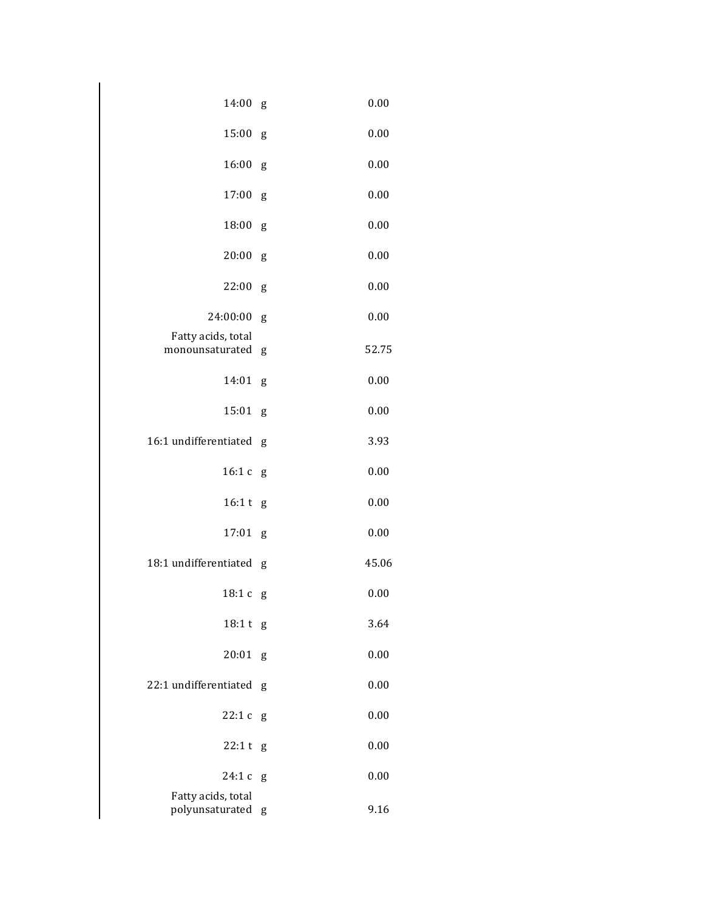| 14:00                                 | g | 0.00  |
|---------------------------------------|---|-------|
| 15:00                                 | g | 0.00  |
| 16:00                                 | g | 0.00  |
| 17:00                                 | g | 0.00  |
| 18:00                                 | g | 0.00  |
| 20:00                                 | g | 0.00  |
| 22:00                                 | g | 0.00  |
| 24:00:00                              | g | 0.00  |
| Fatty acids, total<br>monounsaturated | g | 52.75 |
| 14:01                                 | g | 0.00  |
| 15:01                                 | g | 0.00  |
| 16:1 undifferentiated                 | g | 3.93  |
| 16:1c                                 | g | 0.00  |
| 16:1 t                                | g | 0.00  |
| 17:01                                 | g | 0.00  |
| 18:1 undifferentiated                 | g | 45.06 |
| 18:1c                                 | g | 0.00  |
| 18:1t                                 | g | 3.64  |
| 20:01                                 | g | 0.00  |
| 22:1 undifferentiated                 | g | 0.00  |
| 22:1c                                 | g | 0.00  |
| 22:1t                                 | g | 0.00  |
| 24:1 c<br>Fatty acids, total          | g | 0.00  |
| polyunsaturated                       | g | 9.16  |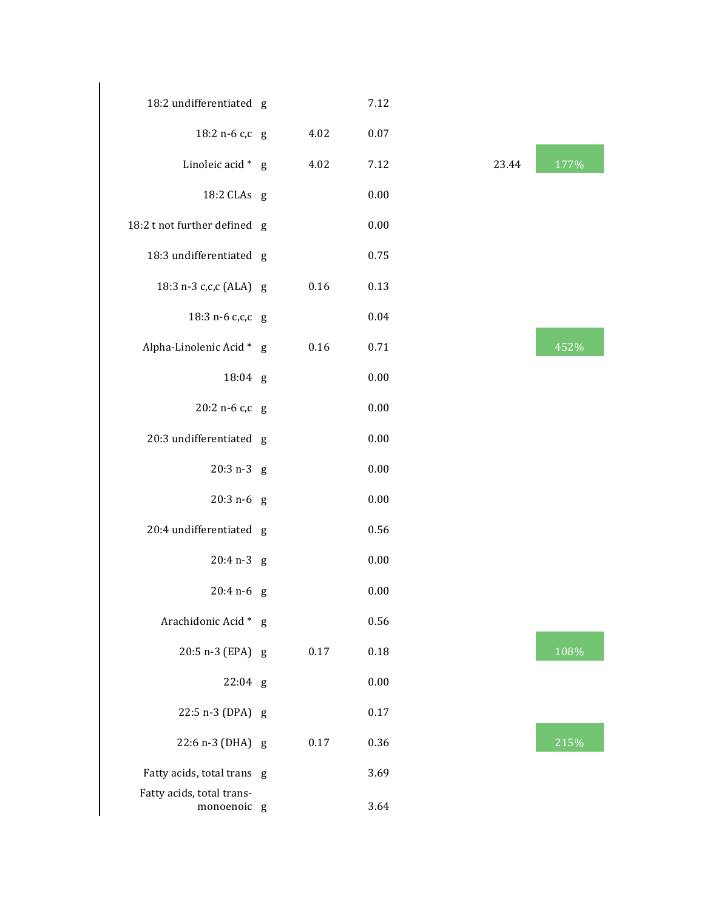| 18:2 undifferentiated g                  |          | 7.12     |       |      |
|------------------------------------------|----------|----------|-------|------|
| 18:2 n-6 c,c g                           | 4.02     | 0.07     |       |      |
| Linoleic acid * g                        | 4.02     | 7.12     | 23.44 | 177% |
| 18:2 CLAs g                              |          | 0.00     |       |      |
| 18:2 t not further defined g             |          | 0.00     |       |      |
| 18:3 undifferentiated g                  |          | 0.75     |       |      |
| 18:3 n-3 c,c,c (ALA) g                   | 0.16     | 0.13     |       |      |
| 18:3 n-6 c,c,c g                         |          | 0.04     |       |      |
| Alpha-Linolenic Acid * g                 | 0.16     | 0.71     |       | 452% |
| 18:04 g                                  |          | 0.00     |       |      |
| 20:2 n-6 c,c g                           |          | 0.00     |       |      |
| 20:3 undifferentiated g                  |          | 0.00     |       |      |
| $20:3 n-3 g$                             |          | 0.00     |       |      |
| $20:3 n-6 g$                             |          | 0.00     |       |      |
| 20:4 undifferentiated g                  |          | 0.56     |       |      |
| $20:4 n-3 g$                             |          | 0.00     |       |      |
| $20:4 n-6 g$                             |          | 0.00     |       |      |
| Arachidonic Acid * g                     |          | 0.56     |       |      |
| 20:5 n-3 (EPA) g                         | $0.17\,$ | $0.18\,$ |       | 108% |
| $22:04$ g                                |          | $0.00\,$ |       |      |
| 22:5 n-3 (DPA) g                         |          | 0.17     |       |      |
| 22:6 n-3 (DHA) g                         | 0.17     | 0.36     |       | 215% |
| Fatty acids, total trans g               |          | 3.69     |       |      |
| Fatty acids, total trans-<br>monoenoic g |          | 3.64     |       |      |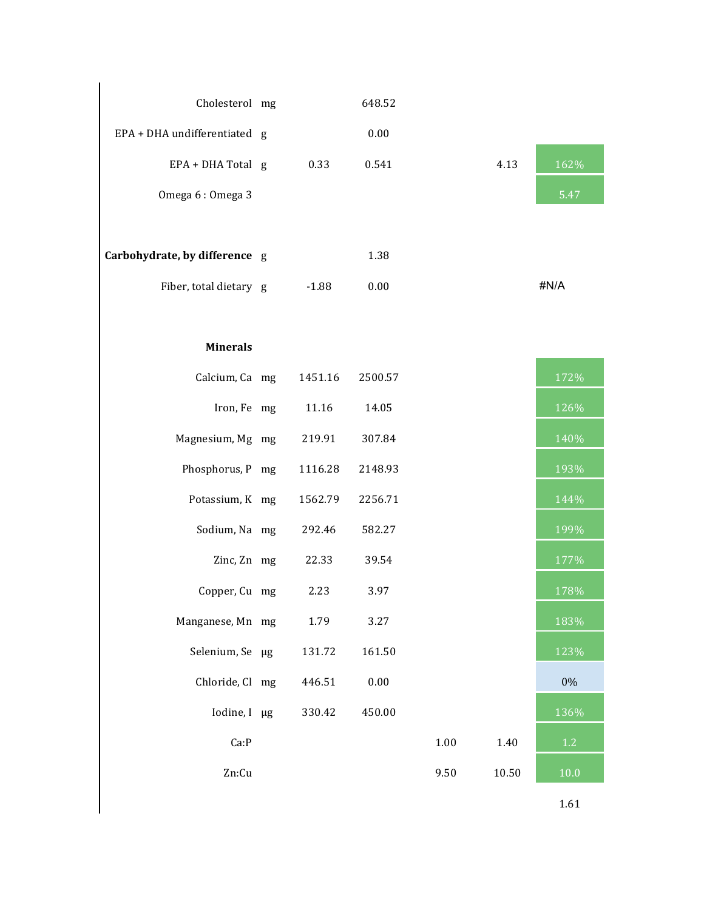| Cholesterol mg                |         | 648.52  |      |       |          |
|-------------------------------|---------|---------|------|-------|----------|
| EPA + DHA undifferentiated g  |         | 0.00    |      |       |          |
| EPA + DHA Total g             | 0.33    | 0.541   |      | 4.13  | 162%     |
| Omega 6: Omega 3              |         |         |      |       | 5.47     |
|                               |         |         |      |       |          |
| Carbohydrate, by difference g |         | 1.38    |      |       |          |
| Fiber, total dietary g        | $-1.88$ | 0.00    |      |       | #N/A     |
|                               |         |         |      |       |          |
| <b>Minerals</b>               |         |         |      |       |          |
| Calcium, Ca mg                | 1451.16 | 2500.57 |      |       | 172%     |
| Iron, Fe mg                   | 11.16   | 14.05   |      |       | 126%     |
| Magnesium, Mg mg              | 219.91  | 307.84  |      |       | 140%     |
| Phosphorus, P mg              | 1116.28 | 2148.93 |      |       | 193%     |
| Potassium, K mg               | 1562.79 | 2256.71 |      |       | 144%     |
| Sodium, Na mg                 | 292.46  | 582.27  |      |       | 199%     |
| Zinc, Zn mg                   | 22.33   | 39.54   |      |       | 177%     |
| Copper, Cu mg                 | 2.23    | 3.97    |      |       | 178%     |
| Manganese, Mn mg              | 1.79    | 3.27    |      |       | 183%     |
| Selenium, Se µg               | 131.72  | 161.50  |      |       | 123%     |
| Chloride, Cl mg               | 446.51  | 0.00    |      |       | 0%       |
| Iodine, I µg                  | 330.42  | 450.00  |      |       | 136%     |
| Ca:P                          |         |         | 1.00 | 1.40  | $1.2\,$  |
| Zn:Cu                         |         |         | 9.50 | 10.50 | $10.0\,$ |
|                               |         |         |      |       | 1.61     |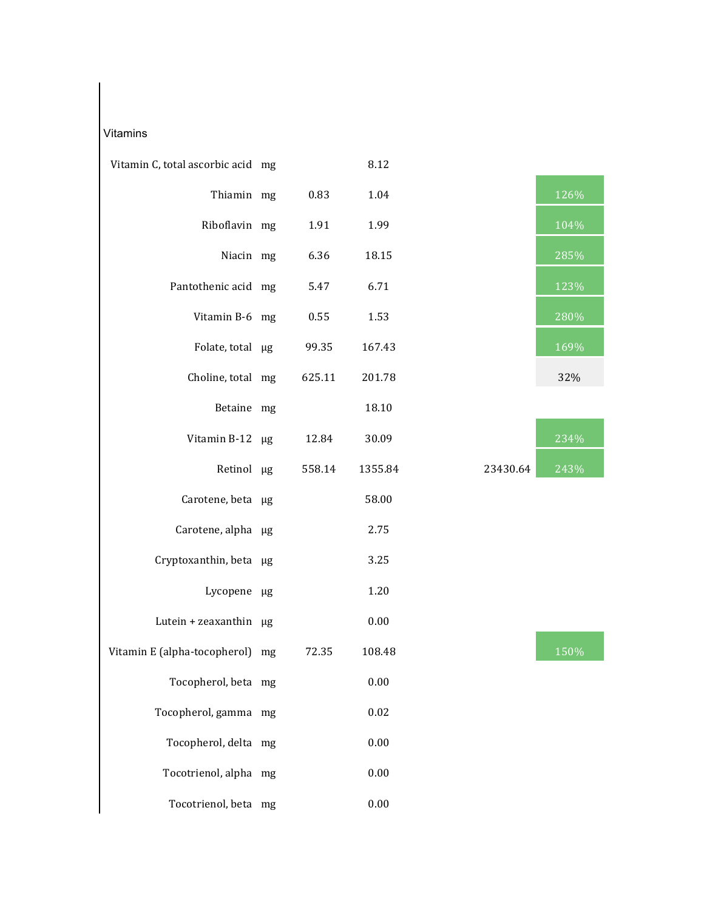## Vitamins

| Vitamin C, total ascorbic acid mg |        | 8.12    |          |      |
|-----------------------------------|--------|---------|----------|------|
| Thiamin mg                        | 0.83   | 1.04    |          | 126% |
| Riboflavin mg                     | 1.91   | 1.99    |          | 104% |
| Niacin mg                         | 6.36   | 18.15   |          | 285% |
| Pantothenic acid mg               | 5.47   | 6.71    |          | 123% |
| Vitamin B-6 mg                    | 0.55   | 1.53    |          | 280% |
| Folate, total µg                  | 99.35  | 167.43  |          | 169% |
| Choline, total mg                 | 625.11 | 201.78  |          | 32%  |
| Betaine mg                        |        | 18.10   |          |      |
| Vitamin B-12 µg                   | 12.84  | 30.09   |          | 234% |
| Retinol µg                        | 558.14 | 1355.84 | 23430.64 | 243% |
| Carotene, beta µg                 |        | 58.00   |          |      |
| Carotene, alpha µg                |        | 2.75    |          |      |
| Cryptoxanthin, beta µg            |        | 3.25    |          |      |
| Lycopene µg                       |        | 1.20    |          |      |
| Lutein + zeaxanthin $\mu$ g       |        | 0.00    |          |      |
| Vitamin E (alpha-tocopherol) mg   | 72.35  | 108.48  |          | 150% |
| Tocopherol, beta mg               |        | 0.00    |          |      |
| Tocopherol, gamma mg              |        | 0.02    |          |      |
| Tocopherol, delta mg              |        | 0.00    |          |      |
| Tocotrienol, alpha mg             |        | 0.00    |          |      |
| Tocotrienol, beta mg              |        | 0.00    |          |      |